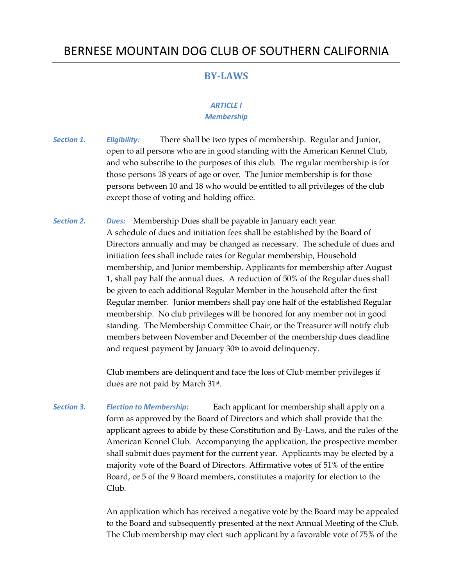# BERNESE MOUNTAIN DOG CLUB OF SOUTHERN CALIFORNIA

# **BY-LAWS**

## *ARTICLE I Membership*

- *Section 1. Eligibility:* There shall be two types of membership. Regular and Junior, open to all persons who are in good standing with the American Kennel Club, and who subscribe to the purposes of this club. The regular membership is for those persons 18 years of age or over. The Junior membership is for those persons between 10 and 18 who would be entitled to all privileges of the club except those of voting and holding office.
- *Section 2. Dues:* Membership Dues shall be payable in January each year. A schedule of dues and initiation fees shall be established by the Board of Directors annually and may be changed as necessary. The schedule of dues and initiation fees shall include rates for Regular membership, Household membership, and Junior membership. Applicants for membership after August 1, shall pay half the annual dues. A reduction of 50% of the Regular dues shall be given to each additional Regular Member in the household after the first Regular member. Junior members shall pay one half of the established Regular membership. No club privileges will be honored for any member not in good standing. The Membership Committee Chair, or the Treasurer will notify club members between November and December of the membership dues deadline and request payment by January 30<sup>th</sup> to avoid delinquency.

Club members are delinquent and face the loss of Club member privileges if dues are not paid by March 31st.

*Section 3. Election to Membership:* Each applicant for membership shall apply on a form as approved by the Board of Directors and which shall provide that the applicant agrees to abide by these Constitution and By-Laws, and the rules of the American Kennel Club. Accompanying the application, the prospective member shall submit dues payment for the current year. Applicants may be elected by a majority vote of the Board of Directors. Affirmative votes of 51% of the entire Board, or 5 of the 9 Board members, constitutes a majority for election to the Club.

> An application which has received a negative vote by the Board may be appealed to the Board and subsequently presented at the next Annual Meeting of the Club. The Club membership may elect such applicant by a favorable vote of 75% of the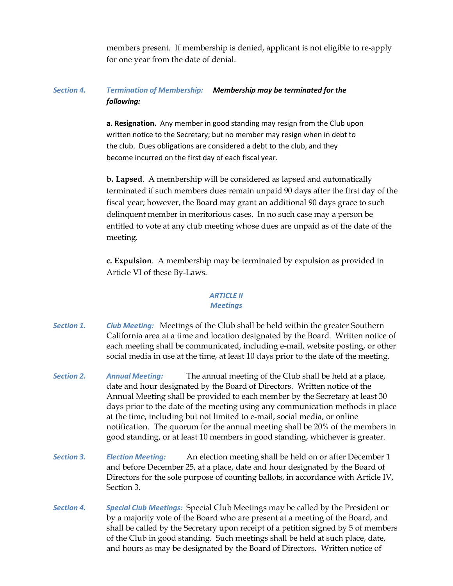members present. If membership is denied, applicant is not eligible to re-apply for one year from the date of denial.

# *Section 4. Termination of Membership: Membership may be terminated for the following:*

**a. Resignation.** Any member in good standing may resign from the Club upon written notice to the Secretary; but no member may resign when in debt to the club. Dues obligations are considered a debt to the club, and they become incurred on the first day of each fiscal year.

**b. Lapsed**. A membership will be considered as lapsed and automatically terminated if such members dues remain unpaid 90 days after the first day of the fiscal year; however, the Board may grant an additional 90 days grace to such delinquent member in meritorious cases. In no such case may a person be entitled to vote at any club meeting whose dues are unpaid as of the date of the meeting.

**c. Expulsion**. A membership may be terminated by expulsion as provided in Article VI of these By-Laws.

#### *ARTICLE II Meetings*

- *Section 1. Club Meeting:* Meetings of the Club shall be held within the greater Southern California area at a time and location designated by the Board. Written notice of each meeting shall be communicated, including e-mail, website posting, or other social media in use at the time, at least 10 days prior to the date of the meeting.
- *Section 2. Annual Meeting:* The annual meeting of the Club shall be held at a place, date and hour designated by the Board of Directors. Written notice of the Annual Meeting shall be provided to each member by the Secretary at least 30 days prior to the date of the meeting using any communication methods in place at the time, including but not limited to e-mail, social media, or online notification. The quorum for the annual meeting shall be 20% of the members in good standing, or at least 10 members in good standing, whichever is greater.
- *Section 3. Election Meeting:* An election meeting shall be held on or after December 1 and before December 25, at a place, date and hour designated by the Board of Directors for the sole purpose of counting ballots, in accordance with Article IV, Section 3.
- *Section 4. Special Club Meetings:* Special Club Meetings may be called by the President or by a majority vote of the Board who are present at a meeting of the Board, and shall be called by the Secretary upon receipt of a petition signed by 5 of members of the Club in good standing. Such meetings shall be held at such place, date, and hours as may be designated by the Board of Directors. Written notice of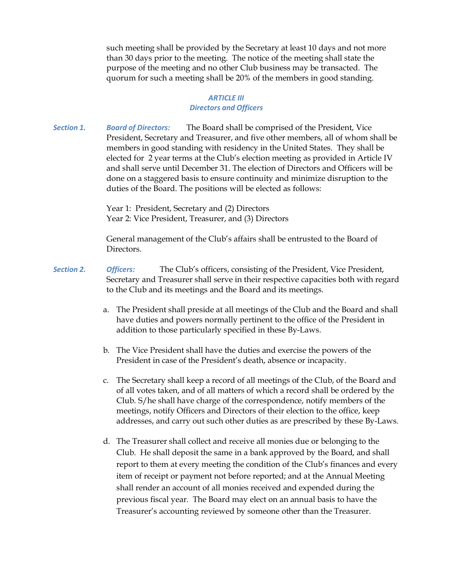such meeting shall be provided by the Secretary at least 10 days and not more than 30 days prior to the meeting. The notice of the meeting shall state the purpose of the meeting and no other Club business may be transacted. The quorum for such a meeting shall be 20% of the members in good standing.

# *ARTICLE III Directors and Officers*

*Section 1. Board of Directors:* The Board shall be comprised of the President, Vice President, Secretary and Treasurer, and five other members, all of whom shall be members in good standing with residency in the United States. They shall be elected for 2 year terms at the Club's election meeting as provided in Article IV and shall serve until December 31. The election of Directors and Officers will be done on a staggered basis to ensure continuity and minimize disruption to the duties of the Board. The positions will be elected as follows:

> Year 1: President, Secretary and (2) Directors Year 2: Vice President, Treasurer, and (3) Directors

General management of the Club's affairs shall be entrusted to the Board of Directors.

- *Section 2. Officers:* The Club's officers, consisting of the President, Vice President, Secretary and Treasurer shall serve in their respective capacities both with regard to the Club and its meetings and the Board and its meetings.
	- a. The President shall preside at all meetings of the Club and the Board and shall have duties and powers normally pertinent to the office of the President in addition to those particularly specified in these By-Laws.
	- b. The Vice President shall have the duties and exercise the powers of the President in case of the President's death, absence or incapacity.
	- c. The Secretary shall keep a record of all meetings of the Club, of the Board and of all votes taken, and of all matters of which a record shall be ordered by the Club. S/he shall have charge of the correspondence, notify members of the meetings, notify Officers and Directors of their election to the office, keep addresses, and carry out such other duties as are prescribed by these By-Laws.
	- d. The Treasurer shall collect and receive all monies due or belonging to the Club. He shall deposit the same in a bank approved by the Board, and shall report to them at every meeting the condition of the Club's finances and every item of receipt or payment not before reported; and at the Annual Meeting shall render an account of all monies received and expended during the previous fiscal year. The Board may elect on an annual basis to have the Treasurer's accounting reviewed by someone other than the Treasurer.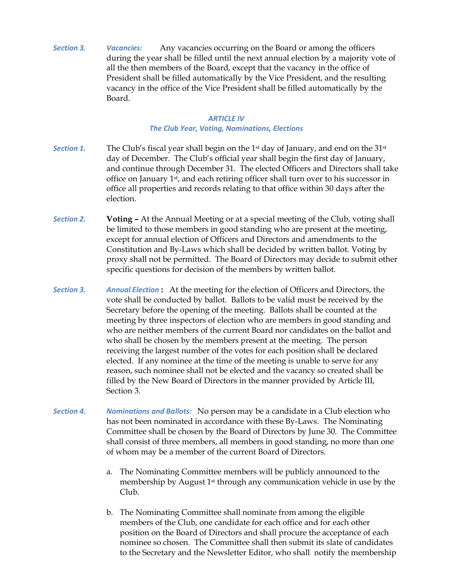*Section 3. Vacancies:* Any vacancies occurring on the Board or among the officers during the year shall be filled until the next annual election by a majority vote of all the then members of the Board, except that the vacancy in the office of President shall be filled automatically by the Vice President, and the resulting vacancy in the office of the Vice President shall be filled automatically by the Board.

#### *ARTICLE IV*

## *The Club Year, Voting, Nominations, Elections*

- *Section 1.* The Club's fiscal year shall begin on the 1st day of January, and end on the 31st day of December. The Club's official year shall begin the first day of January, and continue through December 31. The elected Officers and Directors shall take office on January 1st, and each retiring officer shall turn over to his successor in office all properties and records relating to that office within 30 days after the election.
- *Section 2.* **Voting –** At the Annual Meeting or at a special meeting of the Club, voting shall be limited to those members in good standing who are present at the meeting, except for annual election of Officers and Directors and amendments to the Constitution and By-Laws which shall be decided by written ballot. Voting by proxy shall not be permitted. The Board of Directors may decide to submit other specific questions for decision of the members by written ballot.
- *Section 3. Annual Election* **:** At the meeting for the election of Officers and Directors, the vote shall be conducted by ballot. Ballots to be valid must be received by the Secretary before the opening of the meeting. Ballots shall be counted at the meeting by three inspectors of election who are members in good standing and who are neither members of the current Board nor candidates on the ballot and who shall be chosen by the members present at the meeting. The person receiving the largest number of the votes for each position shall be declared elected. If any nominee at the time of the meeting is unable to serve for any reason, such nominee shall not be elected and the vacancy so created shall be filled by the New Board of Directors in the manner provided by Article III, Section 3.
- *Section 4. Nominations and Ballots:* No person may be a candidate in a Club election who has not been nominated in accordance with these By-Laws. The Nominating Committee shall be chosen by the Board of Directors by June 30. The Committee shall consist of three members, all members in good standing, no more than one of whom may be a member of the current Board of Directors.
	- a. The Nominating Committee members will be publicly announced to the membership by August 1st through any communication vehicle in use by the Club.
	- b. The Nominating Committee shall nominate from among the eligible members of the Club, one candidate for each office and for each other position on the Board of Directors and shall procure the acceptance of each nominee so chosen. The Committee shall then submit its slate of candidates to the Secretary and the Newsletter Editor, who shall notify the membership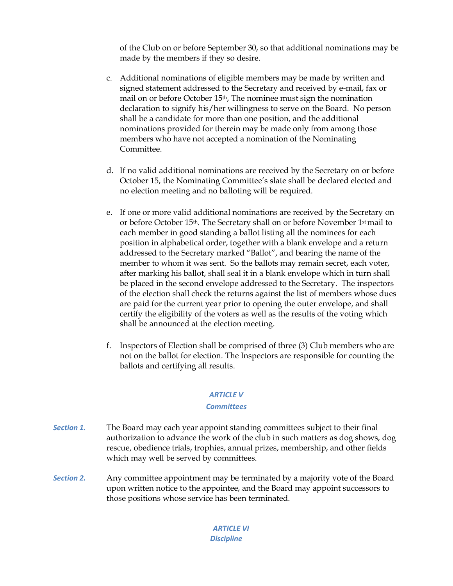of the Club on or before September 30, so that additional nominations may be made by the members if they so desire.

- c. Additional nominations of eligible members may be made by written and signed statement addressed to the Secretary and received by e-mail, fax or mail on or before October 15th, The nominee must sign the nomination declaration to signify his/her willingness to serve on the Board. No person shall be a candidate for more than one position, and the additional nominations provided for therein may be made only from among those members who have not accepted a nomination of the Nominating Committee.
- d. If no valid additional nominations are received by the Secretary on or before October 15, the Nominating Committee's slate shall be declared elected and no election meeting and no balloting will be required.
- e. If one or more valid additional nominations are received by the Secretary on or before October 15th. The Secretary shall on or before November 1st mail to each member in good standing a ballot listing all the nominees for each position in alphabetical order, together with a blank envelope and a return addressed to the Secretary marked "Ballot", and bearing the name of the member to whom it was sent. So the ballots may remain secret, each voter, after marking his ballot, shall seal it in a blank envelope which in turn shall be placed in the second envelope addressed to the Secretary. The inspectors of the election shall check the returns against the list of members whose dues are paid for the current year prior to opening the outer envelope, and shall certify the eligibility of the voters as well as the results of the voting which shall be announced at the election meeting.
- f. Inspectors of Election shall be comprised of three (3) Club members who are not on the ballot for election. The Inspectors are responsible for counting the ballots and certifying all results.

#### *ARTICLE V*

#### *Committees*

- *Section 1.* The Board may each year appoint standing committees subject to their final authorization to advance the work of the club in such matters as dog shows, dog rescue, obedience trials, trophies, annual prizes, membership, and other fields which may well be served by committees.
- *Section 2.* Any committee appointment may be terminated by a majority vote of the Board upon written notice to the appointee, and the Board may appoint successors to those positions whose service has been terminated.

#### *ARTICLE VI Discipline*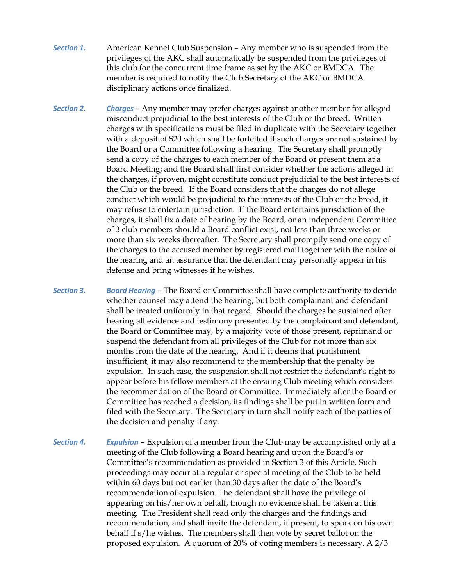- *Section 1.* American Kennel Club Suspension Any member who is suspended from the privileges of the AKC shall automatically be suspended from the privileges of this club for the concurrent time frame as set by the AKC or BMDCA. The member is required to notify the Club Secretary of the AKC or BMDCA disciplinary actions once finalized.
- *Section 2. Charges* **–** Any member may prefer charges against another member for alleged misconduct prejudicial to the best interests of the Club or the breed. Written charges with specifications must be filed in duplicate with the Secretary together with a deposit of \$20 which shall be forfeited if such charges are not sustained by the Board or a Committee following a hearing. The Secretary shall promptly send a copy of the charges to each member of the Board or present them at a Board Meeting; and the Board shall first consider whether the actions alleged in the charges, if proven, might constitute conduct prejudicial to the best interests of the Club or the breed. If the Board considers that the charges do not allege conduct which would be prejudicial to the interests of the Club or the breed, it may refuse to entertain jurisdiction. If the Board entertains jurisdiction of the charges, it shall fix a date of hearing by the Board, or an independent Committee of 3 club members should a Board conflict exist, not less than three weeks or more than six weeks thereafter. The Secretary shall promptly send one copy of the charges to the accused member by registered mail together with the notice of the hearing and an assurance that the defendant may personally appear in his defense and bring witnesses if he wishes.
- *Section 3. Board Hearing* **–** The Board or Committee shall have complete authority to decide whether counsel may attend the hearing, but both complainant and defendant shall be treated uniformly in that regard. Should the charges be sustained after hearing all evidence and testimony presented by the complainant and defendant, the Board or Committee may, by a majority vote of those present, reprimand or suspend the defendant from all privileges of the Club for not more than six months from the date of the hearing. And if it deems that punishment insufficient, it may also recommend to the membership that the penalty be expulsion. In such case, the suspension shall not restrict the defendant's right to appear before his fellow members at the ensuing Club meeting which considers the recommendation of the Board or Committee. Immediately after the Board or Committee has reached a decision, its findings shall be put in written form and filed with the Secretary. The Secretary in turn shall notify each of the parties of the decision and penalty if any.
- *Section 4. Expulsion* **–** Expulsion of a member from the Club may be accomplished only at a meeting of the Club following a Board hearing and upon the Board's or Committee's recommendation as provided in Section 3 of this Article. Such proceedings may occur at a regular or special meeting of the Club to be held within 60 days but not earlier than 30 days after the date of the Board's recommendation of expulsion. The defendant shall have the privilege of appearing on his/her own behalf, though no evidence shall be taken at this meeting. The President shall read only the charges and the findings and recommendation, and shall invite the defendant, if present, to speak on his own behalf if s/he wishes. The members shall then vote by secret ballot on the proposed expulsion. A quorum of 20% of voting members is necessary. A 2/3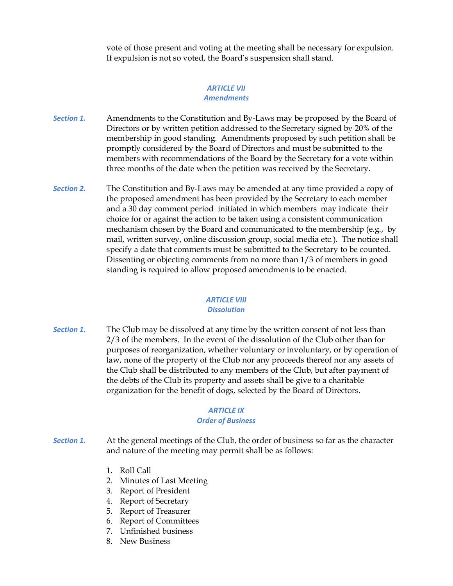vote of those present and voting at the meeting shall be necessary for expulsion. If expulsion is not so voted, the Board's suspension shall stand.

#### *ARTICLE VII Amendments*

- *Section 1.* Amendments to the Constitution and By-Laws may be proposed by the Board of Directors or by written petition addressed to the Secretary signed by 20% of the membership in good standing. Amendments proposed by such petition shall be promptly considered by the Board of Directors and must be submitted to the members with recommendations of the Board by the Secretary for a vote within three months of the date when the petition was received by the Secretary.
- *Section 2.* The Constitution and By-Laws may be amended at any time provided a copy of the proposed amendment has been provided by the Secretary to each member and a 30 day comment period initiated in which members may indicate their choice for or against the action to be taken using a consistent communication mechanism chosen by the Board and communicated to the membership (e.g., by mail, written survey, online discussion group, social media etc.). The notice shall specify a date that comments must be submitted to the Secretary to be counted. Dissenting or objecting comments from no more than 1/3 of members in good standing is required to allow proposed amendments to be enacted.

# *ARTICLE VIII*

#### *Dissolution*

*Section 1.* The Club may be dissolved at any time by the written consent of not less than 2/3 of the members. In the event of the dissolution of the Club other than for purposes of reorganization, whether voluntary or involuntary, or by operation of law, none of the property of the Club nor any proceeds thereof nor any assets of the Club shall be distributed to any members of the Club, but after payment of the debts of the Club its property and assets shall be give to a charitable organization for the benefit of dogs, selected by the Board of Directors.

## *ARTICLE IX*

## *Order of Business*

- *Section 1.* At the general meetings of the Club, the order of business so far as the character and nature of the meeting may permit shall be as follows:
	- 1. Roll Call
	- 2. Minutes of Last Meeting
	- 3. Report of President
	- 4. Report of Secretary
	- 5. Report of Treasurer
	- 6. Report of Committees
	- 7. Unfinished business
	- 8. New Business